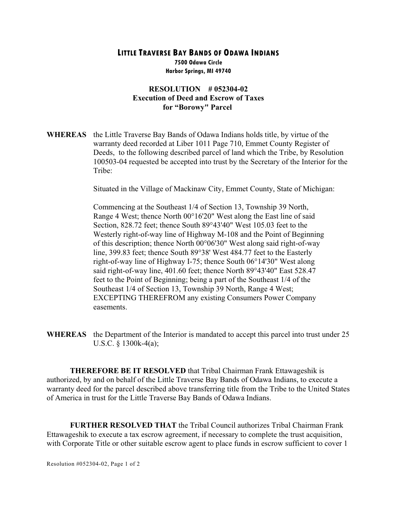## **LITTLE TRAVERSE BAY BANDS OF ODAWA INDIANS**

**7500 Odawa Circle Harbor Springs, MI 49740**

## **RESOLUTION # 052304-02 Execution of Deed and Escrow of Taxes for "Borowy" Parcel**

**WHEREAS** the Little Traverse Bay Bands of Odawa Indians holds title, by virtue of the warranty deed recorded at Liber 1011 Page 710, Emmet County Register of Deeds, to the following described parcel of land which the Tribe, by Resolution 100503-04 requested be accepted into trust by the Secretary of the Interior for the Tribe:

Situated in the Village of Mackinaw City, Emmet County, State of Michigan:

Commencing at the Southeast 1/4 of Section 13, Township 39 North, Range 4 West; thence North 00°16'20" West along the East line of said Section, 828.72 feet; thence South 89°43'40" West 105.03 feet to the Westerly right-of-way line of Highway M-108 and the Point of Beginning of this description; thence North 00°06'30" West along said right-of-way line, 399.83 feet; thence South 89°38' West 484.77 feet to the Easterly right-of-way line of Highway I-75; thence South 06°14'30" West along said right-of-way line, 401.60 feet; thence North 89°43'40" East 528.47 feet to the Point of Beginning; being a part of the Southeast 1/4 of the Southeast 1/4 of Section 13, Township 39 North, Range 4 West; EXCEPTING THEREFROM any existing Consumers Power Company easements.

**WHEREAS** the Department of the Interior is mandated to accept this parcel into trust under 25 U.S.C. § 1300k-4(a);

**THEREFORE BE IT RESOLVED** that Tribal Chairman Frank Ettawageshik is authorized, by and on behalf of the Little Traverse Bay Bands of Odawa Indians, to execute a warranty deed for the parcel described above transferring title from the Tribe to the United States of America in trust for the Little Traverse Bay Bands of Odawa Indians.

**FURTHER RESOLVED THAT** the Tribal Council authorizes Tribal Chairman Frank Ettawageshik to execute a tax escrow agreement, if necessary to complete the trust acquisition, with Corporate Title or other suitable escrow agent to place funds in escrow sufficient to cover 1